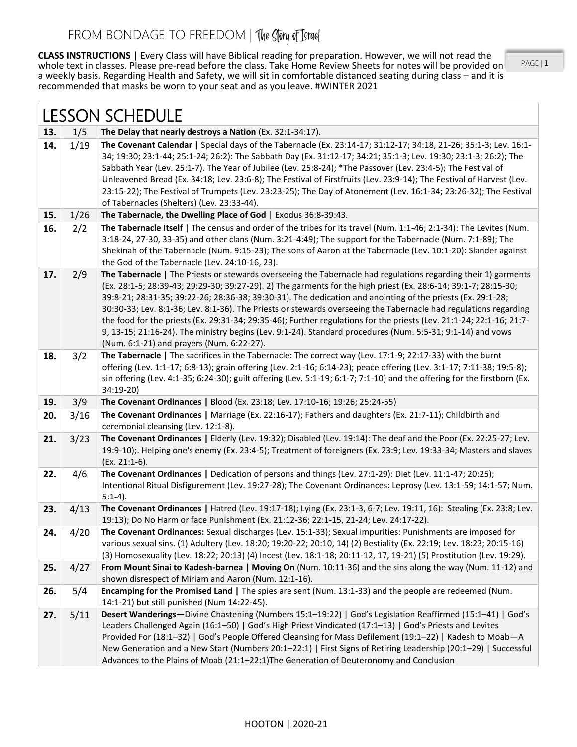**CLASS INSTRUCTIONS** | Every Class will have Biblical reading for preparation. However, we will not read the whole text in classes. Please pre-read before the class. Take Home Review Sheets for notes will be provided on a weekly basis. Regarding Health and Safety, we will sit in comfortable distanced seating during class – and it is recommended that masks be worn to your seat and as you leave. #WINTER 2021

PAGE | 1

| <b>LESSON SCHEDULE</b> |      |                                                                                                                                                                                                                                                                                                                                                                                                                                                                                                                                                                                                                                                                                                                                                         |
|------------------------|------|---------------------------------------------------------------------------------------------------------------------------------------------------------------------------------------------------------------------------------------------------------------------------------------------------------------------------------------------------------------------------------------------------------------------------------------------------------------------------------------------------------------------------------------------------------------------------------------------------------------------------------------------------------------------------------------------------------------------------------------------------------|
| 13.                    | 1/5  | The Delay that nearly destroys a Nation (Ex. 32:1-34:17).                                                                                                                                                                                                                                                                                                                                                                                                                                                                                                                                                                                                                                                                                               |
| 14.                    | 1/19 | The Covenant Calendar   Special days of the Tabernacle (Ex. 23:14-17; 31:12-17; 34:18, 21-26; 35:1-3; Lev. 16:1-<br>34; 19:30; 23:1-44; 25:1-24; 26:2): The Sabbath Day (Ex. 31:12-17; 34:21; 35:1-3; Lev. 19:30; 23:1-3; 26:2); The<br>Sabbath Year (Lev. 25:1-7). The Year of Jubilee (Lev. 25:8-24); *The Passover (Lev. 23:4-5); The Festival of<br>Unleavened Bread (Ex. 34:18; Lev. 23:6-8); The Festival of Firstfruits (Lev. 23:9-14); The Festival of Harvest (Lev.<br>23:15-22); The Festival of Trumpets (Lev. 23:23-25); The Day of Atonement (Lev. 16:1-34; 23:26-32); The Festival<br>of Tabernacles (Shelters) (Lev. 23:33-44).                                                                                                          |
| 15.                    | 1/26 | The Tabernacle, the Dwelling Place of God   Exodus 36:8-39:43.                                                                                                                                                                                                                                                                                                                                                                                                                                                                                                                                                                                                                                                                                          |
| 16.                    | 2/2  | The Tabernacle Itself   The census and order of the tribes for its travel (Num. 1:1-46; 2:1-34): The Levites (Num.<br>3:18-24, 27-30, 33-35) and other clans (Num. 3:21-4:49); The support for the Tabernacle (Num. 7:1-89); The<br>Shekinah of the Tabernacle (Num. 9:15-23); The sons of Aaron at the Tabernacle (Lev. 10:1-20): Slander against<br>the God of the Tabernacle (Lev. 24:10-16, 23).                                                                                                                                                                                                                                                                                                                                                    |
| 17.                    | 2/9  | The Tabernacle   The Priests or stewards overseeing the Tabernacle had regulations regarding their 1) garments<br>(Ex. 28:1-5; 28:39-43; 29:29-30; 39:27-29). 2) The garments for the high priest (Ex. 28:6-14; 39:1-7; 28:15-30;<br>39:8-21; 28:31-35; 39:22-26; 28:36-38; 39:30-31). The dedication and anointing of the priests (Ex. 29:1-28;<br>30:30-33; Lev. 8:1-36; Lev. 8:1-36). The Priests or stewards overseeing the Tabernacle had regulations regarding<br>the food for the priests (Ex. 29:31-34; 29:35-46); Further regulations for the priests (Lev. 21:1-24; 22:1-16; 21:7-<br>9, 13-15; 21:16-24). The ministry begins (Lev. 9:1-24). Standard procedures (Num. 5:5-31; 9:1-14) and vows<br>(Num. 6:1-21) and prayers (Num. 6:22-27). |
| 18.                    | 3/2  | The Tabernacle   The sacrifices in the Tabernacle: The correct way (Lev. 17:1-9; 22:17-33) with the burnt<br>offering (Lev. 1:1-17; 6:8-13); grain offering (Lev. 2:1-16; 6:14-23); peace offering (Lev. 3:1-17; 7:11-38; 19:5-8);<br>sin offering (Lev. 4:1-35; 6:24-30); guilt offering (Lev. 5:1-19; 6:1-7; 7:1-10) and the offering for the firstborn (Ex.<br>34:19-20)                                                                                                                                                                                                                                                                                                                                                                             |
| 19.                    | 3/9  | The Covenant Ordinances   Blood (Ex. 23:18; Lev. 17:10-16; 19:26; 25:24-55)                                                                                                                                                                                                                                                                                                                                                                                                                                                                                                                                                                                                                                                                             |
| 20.                    | 3/16 | The Covenant Ordinances   Marriage (Ex. 22:16-17); Fathers and daughters (Ex. 21:7-11); Childbirth and<br>ceremonial cleansing (Lev. 12:1-8).                                                                                                                                                                                                                                                                                                                                                                                                                                                                                                                                                                                                           |
| 21.                    | 3/23 | The Covenant Ordinances   Elderly (Lev. 19:32); Disabled (Lev. 19:14): The deaf and the Poor (Ex. 22:25-27; Lev.<br>19:9-10);. Helping one's enemy (Ex. 23:4-5); Treatment of foreigners (Ex. 23:9; Lev. 19:33-34; Masters and slaves<br>(Ex. 21:1-6).                                                                                                                                                                                                                                                                                                                                                                                                                                                                                                  |
| 22.                    | 4/6  | The Covenant Ordinances   Dedication of persons and things (Lev. 27:1-29): Diet (Lev. 11:1-47; 20:25);<br>Intentional Ritual Disfigurement (Lev. 19:27-28); The Covenant Ordinances: Leprosy (Lev. 13:1-59; 14:1-57; Num.<br>$5:1-4$ ).                                                                                                                                                                                                                                                                                                                                                                                                                                                                                                                 |
| 23.                    | 4/13 | The Covenant Ordinances   Hatred (Lev. 19:17-18); Lying (Ex. 23:1-3, 6-7; Lev. 19:11, 16): Stealing (Ex. 23:8; Lev.<br>19:13); Do No Harm or face Punishment (Ex. 21:12-36; 22:1-15, 21-24; Lev. 24:17-22).                                                                                                                                                                                                                                                                                                                                                                                                                                                                                                                                             |
| 24.                    | 4/20 | The Covenant Ordinances: Sexual discharges (Lev. 15:1-33); Sexual impurities: Punishments are imposed for<br>various sexual sins. (1) Adultery (Lev. 18:20; 19:20-22; 20:10, 14) (2) Bestiality (Ex. 22:19; Lev. 18:23; 20:15-16)<br>(3) Homosexuality (Lev. 18:22; 20:13) (4) Incest (Lev. 18:1-18; 20:11-12, 17, 19-21) (5) Prostitution (Lev. 19:29).                                                                                                                                                                                                                                                                                                                                                                                                |
| 25.                    | 4/27 | From Mount Sinai to Kadesh-barnea   Moving On (Num. 10:11-36) and the sins along the way (Num. 11-12) and<br>shown disrespect of Miriam and Aaron (Num. 12:1-16).                                                                                                                                                                                                                                                                                                                                                                                                                                                                                                                                                                                       |
| 26.                    | 5/4  | Encamping for the Promised Land   The spies are sent (Num. 13:1-33) and the people are redeemed (Num.<br>14:1-21) but still punished (Num 14:22-45).                                                                                                                                                                                                                                                                                                                                                                                                                                                                                                                                                                                                    |
| 27.                    | 5/11 | Desert Wanderings-Divine Chastening (Numbers 15:1-19:22)   God's Legislation Reaffirmed (15:1-41)   God's<br>Leaders Challenged Again (16:1-50)   God's High Priest Vindicated (17:1-13)   God's Priests and Levites<br>Provided For (18:1-32)   God's People Offered Cleansing for Mass Defilement (19:1-22)   Kadesh to Moab-A<br>New Generation and a New Start (Numbers 20:1-22:1)   First Signs of Retiring Leadership (20:1-29)   Successful<br>Advances to the Plains of Moab (21:1-22:1) The Generation of Deuteronomy and Conclusion                                                                                                                                                                                                           |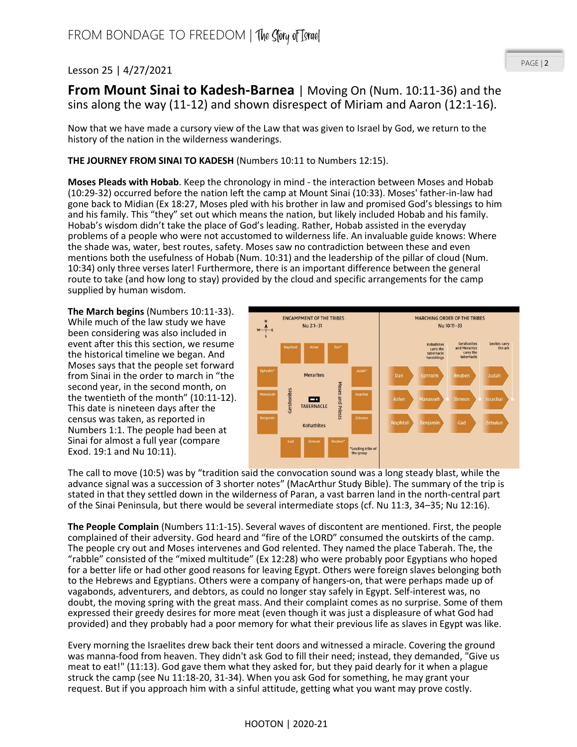## Lesson 25 | 4/27/2021

## PAGE | 2

**From Mount Sinai to Kadesh-Barnea** | Moving On (Num. 10:11-36) and the sins along the way (11-12) and shown disrespect of Miriam and Aaron (12:1-16).

Now that we have made a cursory view of the Law that was given to Israel by God, we return to the history of the nation in the wilderness wanderings.

## **THE JOURNEY FROM SINAI TO KADESH** (Numbers 10:11 to Numbers 12:15).

**Moses Pleads with Hobab**. Keep the chronology in mind - the interaction between Moses and Hobab (10:29-32) occurred before the nation left the camp at Mount Sinai (10:33). Moses' father-in-law had gone back to Midian (Ex 18:27, Moses pled with his brother in law and promised God's blessings to him and his family. This "they" set out which means the nation, but likely included Hobab and his family. Hobab's wisdom didn't take the place of God's leading. Rather, Hobab assisted in the everyday problems of a people who were not accustomed to wilderness life. An invaluable guide knows: Where the shade was, water, best routes, safety. Moses saw no contradiction between these and even mentions both the usefulness of Hobab (Num. 10:31) and the leadership of the pillar of cloud (Num. 10:34) only three verses later! Furthermore, there is an important difference between the general route to take (and how long to stay) provided by the cloud and specific arrangements for the camp supplied by human wisdom.

**The March begins** (Numbers 10:11-33). While much of the law study we have been considering was also included in event after this this section, we resume the historical timeline we began. And Moses says that the people set forward from Sinai in the order to march in "the second year, in the second month, on the twentieth of the month" (10:11-12). This date is nineteen days after the census was taken, as reported in Numbers 1:1. The people had been at Sinai for almost a full year (compare Exod. 19:1 and Nu 10:11).



The call to move (10:5) was by "tradition said the convocation sound was a long steady blast, while the advance signal was a succession of 3 shorter notes" (MacArthur Study Bible). The summary of the trip is stated in that they settled down in the wilderness of Paran, a vast barren land in the north-central part of the Sinai Peninsula, but there would be several intermediate stops (cf. Nu 11:3, 34–35; Nu 12:16).

**The People Complain** (Numbers 11:1-15). Several waves of discontent are mentioned. First, the people complained of their adversity. God heard and "fire of the LORD" consumed the outskirts of the camp. The people cry out and Moses intervenes and God relented. They named the place Taberah. The, the "rabble" consisted of the "mixed multitude" (Ex 12:28) who were probably poor Egyptians who hoped for a better life or had other good reasons for leaving Egypt. Others were foreign slaves belonging both to the Hebrews and Egyptians. Others were a company of hangers-on, that were perhaps made up of vagabonds, adventurers, and debtors, as could no longer stay safely in Egypt. Self-interest was, no doubt, the moving spring with the great mass. And their complaint comes as no surprise. Some of them expressed their greedy desires for more meat (even though it was just a displeasure of what God had provided) and they probably had a poor memory for what their previous life as slaves in Egypt was like.

Every morning the Israelites drew back their tent doors and witnessed a miracle. Covering the ground was manna-food from heaven. They didn't ask God to fill their need; instead, they demanded, "Give us meat to eat!" (11:13). God gave them what they asked for, but they paid dearly for it when a plague struck the camp (see Nu 11:18-20, 31-34). When you ask God for something, he may grant your request. But if you approach him with a sinful attitude, getting what you want may prove costly.